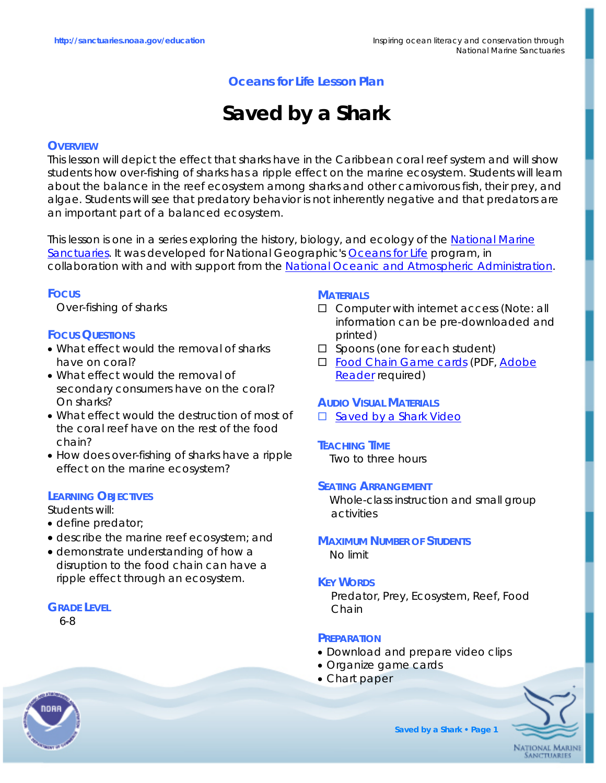# **Oceans for Life Lesson Plan**

# **Saved by a Shark**

# **OVERVIEW**

This lesson will depict the effect that sharks have in the Caribbean coral reef system and will show students how over-fishing of sharks has a ripple effect on the marine ecosystem. Students will learn about the balance in the reef ecosystem among sharks and other carnivorous fish, their prey, and algae. Students will see that predatory behavior is not inherently negative and that predators are an important part of a balanced ecosystem.

This lesson is one in a series exploring the history, biology, and ecology of the [National Marine](http://www.sanctuaries.noaa.gov)  [Sanctuaries.](http://www.sanctuaries.noaa.gov) It was developed for National Geographic's [Oceans for Life](http://www.ngsednet.org/community/index.cfm?community_id=128) program, in collaboration with and with support from the [National Oceanic and Atmospheric Administration](http://www.noaa.gov).

# **FOCUS**

Over-fishing of sharks

# **FOCUS QUESTIONS**

- What effect would the removal of sharks have on coral?
- What effect would the removal of secondary consumers have on the coral? On sharks?
- What effect would the destruction of most of the coral reef have on the rest of the food chain?
- How does over-fishing of sharks have a ripple effect on the marine ecosystem?

# **LEARNING OBJECTIVES**

Students will:

- define predator;
- describe the marine reef ecosystem; and
- demonstrate understanding of how a disruption to the food chain can have a ripple effect through an ecosystem.

# **GRADE LEVEL**

6-8

## **MATERIALS**

- □ Computer with internet access (Note: all information can be pre-downloaded and printed)
- $\square$  Spoons (one for each student)
- □ [Food Chain Game cards](http://www.nationalgeographic.com/xpeditions/lessons/07/g68/noaasharkstudent.html) (PDF, Adobe [Reader](http://www.nationalgeographic.com/download/acrobat/) required)

# **AUDIO VISUAL MATERIALS**

□ [Saved by a Shark Video](http://mm.coexploration.org/video/tcoe/vtw06/bbflv/index.html)

# **TEACHING TIME**

Two to three hours

## **SEATING ARRANGEMENT**

Whole-class instruction and small group activities

## **MAXIMUM NUMBER OF STUDENTS** No limit

## **KEY WORDS**

Predator, Prey, Ecosystem, Reef, Food Chain

## **PREPARATION**

- Download and prepare video clips
- Organize game cards
- Chart paper



**Saved by a Shark • Page 1**

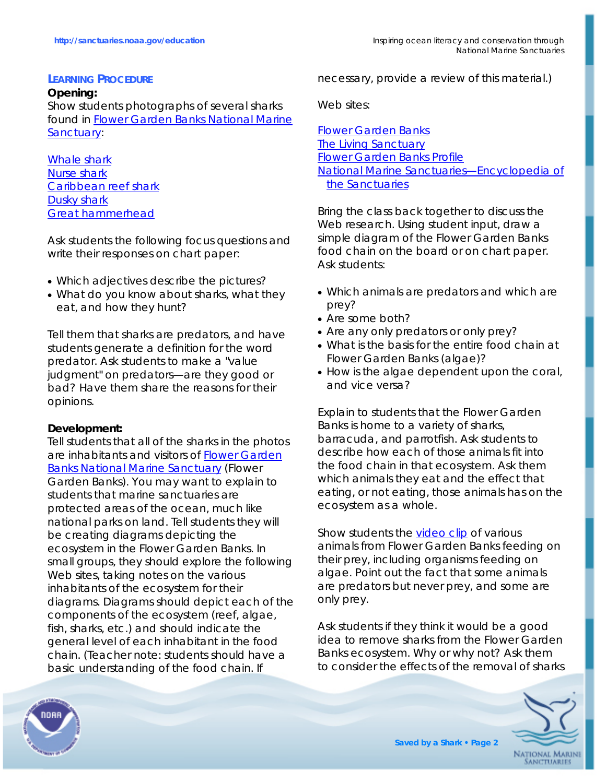# **LEARNING PROCEDURE**

## **Opening:**  Show students photographs of several sharks found in [Flower Garden Banks National Marine](http://flowergarden.noaa.gov/)  [Sanctuary:](http://flowergarden.noaa.gov/)

[Whale shark](http://www.flmnh.ufl.edu/fish/Gallery/Descript/Whaleshark/whaleshark.html) [Nurse shark](http://www.flmnh.ufl.edu/fish/Gallery/Descript/nurseshark/nurseshark.htm) [Caribbean reef shark](http://www.flmnh.ufl.edu/fish/Gallery/Descript/CReefShark/CReefShark.htm) [Dusky shark](http://www.flmnh.ufl.edu/fish/Gallery/Descript/duskyshark/duskyshark.html) [Great hammerhead](http://www.flmnh.ufl.edu/fish/Gallery/Descript/GreatHammerhead/GHammerhead.html) 

Ask students the following focus questions and write their responses on chart paper:

- Which adjectives describe the pictures?
- What do you know about sharks, what they eat, and how they hunt?

Tell them that sharks are predators, and have students generate a definition for the word *predator*. Ask students to make a "value judgment" on predators—are they good or bad? Have them share the reasons for their opinions.

# **Development:**

Tell students that all of the sharks in the photos are inhabitants and visitors of [Flower Garden](http://flowergarden.noaa.gov/)  [Banks National Marine Sanctuary](http://flowergarden.noaa.gov/) (Flower Garden Banks). You may want to explain to students that marine sanctuaries are protected areas of the ocean, much like national parks on land. Tell students they will be creating diagrams depicting the ecosystem in the Flower Garden Banks. In small groups, they should explore the following Web sites, taking notes on the various inhabitants of the ecosystem for their diagrams. Diagrams should depict each of the components of the ecosystem (reef, algae, fish, sharks, etc.) and should indicate the general level of each inhabitant in the food chain. (Teacher note: students should have a basic understanding of the food chain. If

necessary, provide a review of this material.)

# Web sites:

[Flower Garden Banks](http://flowergarden.noaa.gov/about/about.html) [The Living Sanctuary](http://www.sanctuaries.noaa.gov/pgallery/fgliving.html) [Flower Garden Banks Profile](http://www.nationalgeographic.com/seas/index.html?expeditions:flowergarden:profile) [National Marine Sanctuaries—Encyclopedia of](http://www.nationalgeographic.com/seas/index.html?expeditions:flowergarden:profile)  [the Sanctuaries](http://www.nationalgeographic.com/seas/index.html?expeditions:flowergarden:profile)

Bring the class back together to discuss the Web research. Using student input, draw a simple diagram of the Flower Garden Banks food chain on the board or on chart paper. Ask students:

- Which animals are predators and which are prey?
- Are some both?
- Are any only predators or only prey?
- What is the basis for the entire food chain at Flower Garden Banks (algae)?
- How is the algae dependent upon the coral, and vice versa?

Explain to students that the Flower Garden Banks is home to a variety of sharks, barracuda, and parrotfish. Ask students to describe how each of those animals fit into the food chain in that ecosystem. Ask them which animals they eat and the effect that eating, or not eating, those animals has on the ecosystem as a whole.

Show students the [video clip](http://mm.coexploration.org/video/tcoe/vtw06/bbflv/index.html) of various animals from Flower Garden Banks feeding on their prey, including organisms feeding on algae. Point out the fact that some animals are predators but never prey, and some are only prey.

Ask students if they think it would be a good idea to remove sharks from the Flower Garden Banks ecosystem. Why or why not? Ask them to consider the effects of the removal of sharks



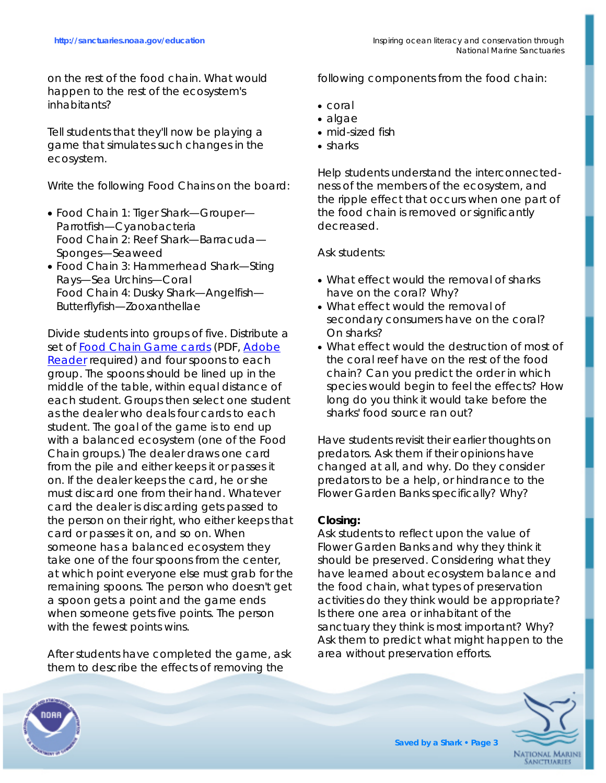on the rest of the food chain. What would happen to the rest of the ecosystem's inhabitants?

Tell students that they'll now be playing a game that simulates such changes in the ecosystem.

Write the following Food Chains on the board:

- Food Chain 1: Tiger Shark—Grouper— Parrotfish—Cyanobacteria Food Chain 2: Reef Shark—Barracuda— Sponges—Seaweed
- Food Chain 3: Hammerhead Shark—Sting Rays—Sea Urchins—Coral Food Chain 4: Dusky Shark—Angelfish— Butterflyfish—Zooxanthellae

Divide students into groups of five. Distribute a set of [Food Chain Game cards](http://www.nationalgeographic.com/xpeditions/lessons/07/g68/noaasharkstudent.html) (PDF, Adobe [Reader](http://www.nationalgeographic.com/download/acrobat/) required) and four spoons to each group. The spoons should be lined up in the middle of the table, within equal distance of each student. Groups then select one student as the dealer who deals four cards to each student. The goal of the game is to end up with a balanced ecosystem (one of the Food Chain groups.) The dealer draws one card from the pile and either keeps it or passes it on. If the dealer keeps the card, he or she must discard one from their hand. Whatever card the dealer is discarding gets passed to the person on their right, who either keeps that card or passes it on, and so on. When someone has a balanced ecosystem they take one of the four spoons from the center, at which point everyone else must grab for the remaining spoons. The person who doesn't get a spoon gets a point and the game ends when someone gets five points. The person with the fewest points wins.

After students have completed the game, ask them to describe the effects of removing the

following components from the food chain:

- coral
- algae
- mid-sized fish
- sharks

Help students understand the interconnectedness of the members of the ecosystem, and the ripple effect that occurs when one part of the food chain is removed or significantly decreased.

Ask students:

- What effect would the removal of sharks have on the coral? Why?
- What effect would the removal of secondary consumers have on the coral? On sharks?
- What effect would the destruction of most of the coral reef have on the rest of the food chain? Can you predict the order in which species would begin to feel the effects? How long do you think it would take before the sharks' food source ran out?

Have students revisit their earlier thoughts on predators. Ask them if their opinions have changed at all, and why. Do they consider predators to be a help, or hindrance to the Flower Garden Banks specifically? Why?

# **Closing:**

Ask students to reflect upon the value of Flower Garden Banks and why they think it should be preserved. Considering what they have learned about ecosystem balance and the food chain, what types of preservation activities do they think would be appropriate? Is there one area or inhabitant of the sanctuary they think is most important? Why? Ask them to predict what might happen to the area without preservation efforts.